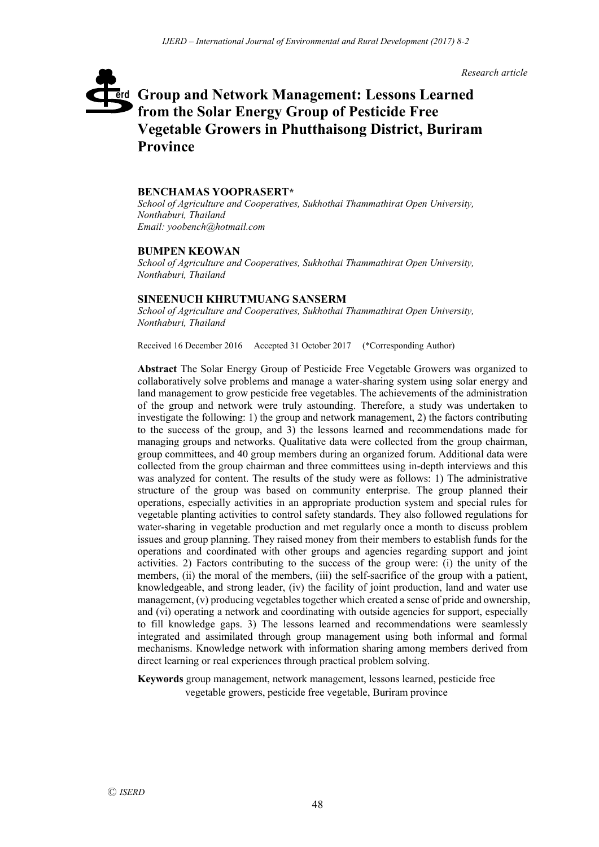*Research article*

# **Group and Network Management: Lessons Learned**  erd **from the Solar Energy Group of Pesticide Free Vegetable Growers in Phutthaisong District, Buriram Province**

#### **BENCHAMAS YOOPRASERT\***

*School of Agriculture and Cooperatives, Sukhothai Thammathirat Open University, Nonthaburi, Thailand Email: yoobench@hotmail.com*

#### **BUMPEN KEOWAN**

*School of Agriculture and Cooperatives, Sukhothai Thammathirat Open University, Nonthaburi, Thailand*

#### **SINEENUCH KHRUTMUANG SANSERM**

*School of Agriculture and Cooperatives, Sukhothai Thammathirat Open University, Nonthaburi, Thailand*

Received 16 December 2016 Accepted 31 October 2017 (\*Corresponding Author)

**Abstract** The Solar Energy Group of Pesticide Free Vegetable Growers was organized to collaboratively solve problems and manage a water-sharing system using solar energy and land management to grow pesticide free vegetables. The achievements of the administration of the group and network were truly astounding. Therefore, a study was undertaken to investigate the following: 1) the group and network management, 2) the factors contributing to the success of the group, and 3) the lessons learned and recommendations made for managing groups and networks. Qualitative data were collected from the group chairman, group committees, and 40 group members during an organized forum. Additional data were collected from the group chairman and three committees using in-depth interviews and this was analyzed for content. The results of the study were as follows: 1) The administrative structure of the group was based on community enterprise. The group planned their operations, especially activities in an appropriate production system and special rules for vegetable planting activities to control safety standards. They also followed regulations for water-sharing in vegetable production and met regularly once a month to discuss problem issues and group planning. They raised money from their members to establish funds for the operations and coordinated with other groups and agencies regarding support and joint activities. 2) Factors contributing to the success of the group were: (i) the unity of the members, (ii) the moral of the members, (iii) the self-sacrifice of the group with a patient, knowledgeable, and strong leader, (iv) the facility of joint production, land and water use management, (v) producing vegetables together which created a sense of pride and ownership, and (vi) operating a network and coordinating with outside agencies for support, especially to fill knowledge gaps. 3) The lessons learned and recommendations were seamlessly integrated and assimilated through group management using both informal and formal mechanisms. Knowledge network with information sharing among members derived from direct learning or real experiences through practical problem solving.

**Keywords** group management, network management, lessons learned, pesticide free vegetable growers, pesticide free vegetable, Buriram province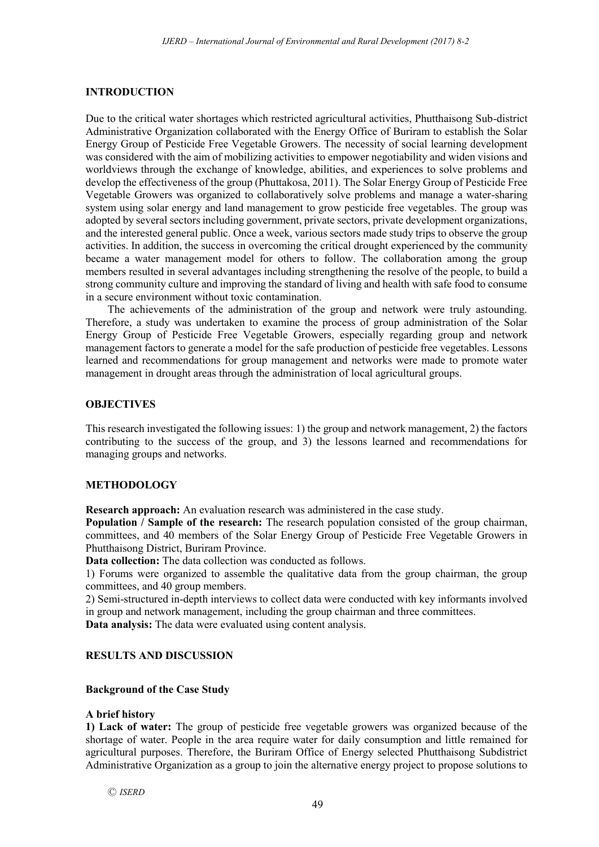### **INTRODUCTION**

Due to the critical water shortages which restricted agricultural activities, Phutthaisong Sub-district Administrative Organization collaborated with the Energy Office of Buriram to establish the Solar Energy Group of Pesticide Free Vegetable Growers. The necessity of social learning development was considered with the aim of mobilizing activities to empower negotiability and widen visions and worldviews through the exchange of knowledge, abilities, and experiences to solve problems and develop the effectiveness of the group (Phuttakosa, 2011). The Solar Energy Group of Pesticide Free Vegetable Growers was organized to collaboratively solve problems and manage a water-sharing system using solar energy and land management to grow pesticide free vegetables. The group was adopted by several sectors including government, private sectors, private development organizations, and the interested general public. Once a week, various sectors made study trips to observe the group activities. In addition, the success in overcoming the critical drought experienced by the community became a water management model for others to follow. The collaboration among the group members resulted in several advantages including strengthening the resolve of the people, to build a strong community culture and improving the standard of living and health with safe food to consume in a secure environment without toxic contamination.

The achievements of the administration of the group and network were truly astounding. Therefore, a study was undertaken to examine the process of group administration of the Solar Energy Group of Pesticide Free Vegetable Growers, especially regarding group and network management factors to generate a model for the safe production of pesticide free vegetables. Lessons learned and recommendations for group management and networks were made to promote water management in drought areas through the administration of local agricultural groups.

#### **OBJECTIVES**

This research investigated the following issues: 1) the group and network management, 2) the factors contributing to the success of the group, and 3) the lessons learned and recommendations for managing groups and networks.

## **METHODOLOGY**

**Research approach:** An evaluation research was administered in the case study.

**Population / Sample of the research:** The research population consisted of the group chairman, committees, and 40 members of the Solar Energy Group of Pesticide Free Vegetable Growers in Phutthaisong District, Buriram Province.

**Data collection:** The data collection was conducted as follows.

1) Forums were organized to assemble the qualitative data from the group chairman, the group committees, and 40 group members.

2) Semi-structured in-depth interviews to collect data were conducted with key informants involved in group and network management, including the group chairman and three committees.

**Data analysis:** The data were evaluated using content analysis.

### **RESULTS AND DISCUSSION**

### **Background of the Case Study**

#### **A brief history**

**1) Lack of water:** The group of pesticide free vegetable growers was organized because of the shortage of water. People in the area require water for daily consumption and little remained for agricultural purposes. Therefore, the Buriram Office of Energy selected Phutthaisong Subdistrict Administrative Organization as a group to join the alternative energy project to propose solutions to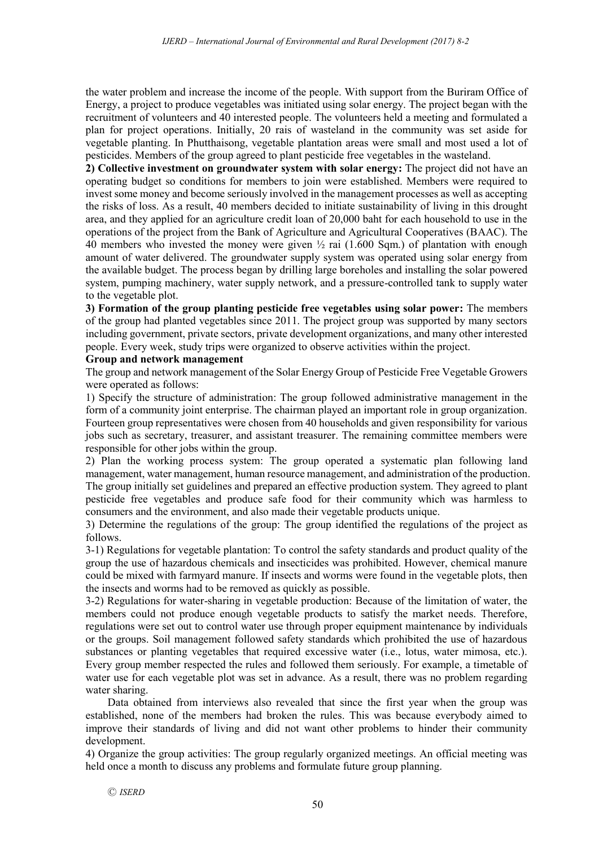the water problem and increase the income of the people. With support from the Buriram Office of Energy, a project to produce vegetables was initiated using solar energy. The project began with the recruitment of volunteers and 40 interested people. The volunteers held a meeting and formulated a plan for project operations. Initially, 20 rais of wasteland in the community was set aside for vegetable planting. In Phutthaisong, vegetable plantation areas were small and most used a lot of pesticides. Members of the group agreed to plant pesticide free vegetables in the wasteland.

**2) Collective investment on groundwater system with solar energy:** The project did not have an operating budget so conditions for members to join were established. Members were required to invest some money and become seriously involved in the management processes as well as accepting the risks of loss. As a result, 40 members decided to initiate sustainability of living in this drought area, and they applied for an agriculture credit loan of 20,000 baht for each household to use in the operations of the project from the Bank of Agriculture and Agricultural Cooperatives (BAAC). The 40 members who invested the money were given ½ rai (1.600 Sqm.) of plantation with enough amount of water delivered. The groundwater supply system was operated using solar energy from the available budget. The process began by drilling large boreholes and installing the solar powered system, pumping machinery, water supply network, and a pressure-controlled tank to supply water to the vegetable plot.

**3) Formation of the group planting pesticide free vegetables using solar power:** The members of the group had planted vegetables since 2011. The project group was supported by many sectors including government, private sectors, private development organizations, and many other interested people. Every week, study trips were organized to observe activities within the project.

## **Group and network management**

The group and network management of the Solar Energy Group of Pesticide Free Vegetable Growers were operated as follows:

1) Specify the structure of administration: The group followed administrative management in the form of a community joint enterprise. The chairman played an important role in group organization. Fourteen group representatives were chosen from 40 households and given responsibility for various jobs such as secretary, treasurer, and assistant treasurer. The remaining committee members were responsible for other jobs within the group.

2) Plan the working process system: The group operated a systematic plan following land management, water management, human resource management, and administration of the production. The group initially set guidelines and prepared an effective production system. They agreed to plant pesticide free vegetables and produce safe food for their community which was harmless to consumers and the environment, and also made their vegetable products unique.

3) Determine the regulations of the group: The group identified the regulations of the project as follows.

3-1) Regulations for vegetable plantation: To control the safety standards and product quality of the group the use of hazardous chemicals and insecticides was prohibited. However, chemical manure could be mixed with farmyard manure. If insects and worms were found in the vegetable plots, then the insects and worms had to be removed as quickly as possible.

3-2) Regulations for water-sharing in vegetable production: Because of the limitation of water, the members could not produce enough vegetable products to satisfy the market needs. Therefore, regulations were set out to control water use through proper equipment maintenance by individuals or the groups. Soil management followed safety standards which prohibited the use of hazardous substances or planting vegetables that required excessive water (i.e., lotus, water mimosa, etc.). Every group member respected the rules and followed them seriously. For example, a timetable of water use for each vegetable plot was set in advance. As a result, there was no problem regarding water sharing.

Data obtained from interviews also revealed that since the first year when the group was established, none of the members had broken the rules. This was because everybody aimed to improve their standards of living and did not want other problems to hinder their community development.

4) Organize the group activities: The group regularly organized meetings. An official meeting was held once a month to discuss any problems and formulate future group planning.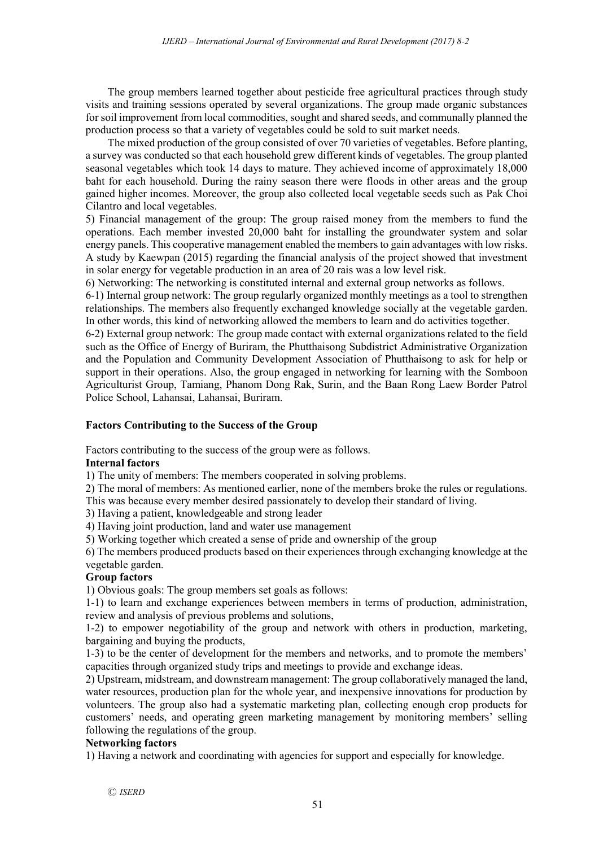The group members learned together about pesticide free agricultural practices through study visits and training sessions operated by several organizations. The group made organic substances for soil improvement from local commodities, sought and shared seeds, and communally planned the production process so that a variety of vegetables could be sold to suit market needs.

The mixed production of the group consisted of over 70 varieties of vegetables. Before planting, a survey was conducted so that each household grew different kinds of vegetables. The group planted seasonal vegetables which took 14 days to mature. They achieved income of approximately 18,000 baht for each household. During the rainy season there were floods in other areas and the group gained higher incomes. Moreover, the group also collected local vegetable seeds such as Pak Choi Cilantro and local vegetables.

5) Financial management of the group: The group raised money from the members to fund the operations. Each member invested 20,000 baht for installing the groundwater system and solar energy panels. This cooperative management enabled the members to gain advantages with low risks. A study by Kaewpan (2015) regarding the financial analysis of the project showed that investment in solar energy for vegetable production in an area of 20 rais was a low level risk.

6) Networking: The networking is constituted internal and external group networks as follows.

6-1) Internal group network: The group regularly organized monthly meetings as a tool to strengthen relationships. The members also frequently exchanged knowledge socially at the vegetable garden. In other words, this kind of networking allowed the members to learn and do activities together.

6-2) External group network: The group made contact with external organizations related to the field such as the Office of Energy of Buriram, the Phutthaisong Subdistrict Administrative Organization and the Population and Community Development Association of Phutthaisong to ask for help or support in their operations. Also, the group engaged in networking for learning with the Somboon Agriculturist Group, Tamiang, Phanom Dong Rak, Surin, and the Baan Rong Laew Border Patrol Police School, Lahansai, Lahansai, Buriram.

## **Factors Contributing to the Success of the Group**

Factors contributing to the success of the group were as follows.

## **Internal factors**

1) The unity of members: The members cooperated in solving problems.

2) The moral of members: As mentioned earlier, none of the members broke the rules or regulations.

This was because every member desired passionately to develop their standard of living.

3) Having a patient, knowledgeable and strong leader

4) Having joint production, land and water use management

5) Working together which created a sense of pride and ownership of the group

6) The members produced products based on their experiences through exchanging knowledge at the vegetable garden.

## **Group factors**

1) Obvious goals: The group members set goals as follows:

1-1) to learn and exchange experiences between members in terms of production, administration, review and analysis of previous problems and solutions,

1-2) to empower negotiability of the group and network with others in production, marketing, bargaining and buying the products,

1-3) to be the center of development for the members and networks, and to promote the members' capacities through organized study trips and meetings to provide and exchange ideas.

2) Upstream, midstream, and downstream management: The group collaboratively managed the land, water resources, production plan for the whole year, and inexpensive innovations for production by volunteers. The group also had a systematic marketing plan, collecting enough crop products for customers' needs, and operating green marketing management by monitoring members' selling following the regulations of the group.

## **Networking factors**

1) Having a network and coordinating with agencies for support and especially for knowledge.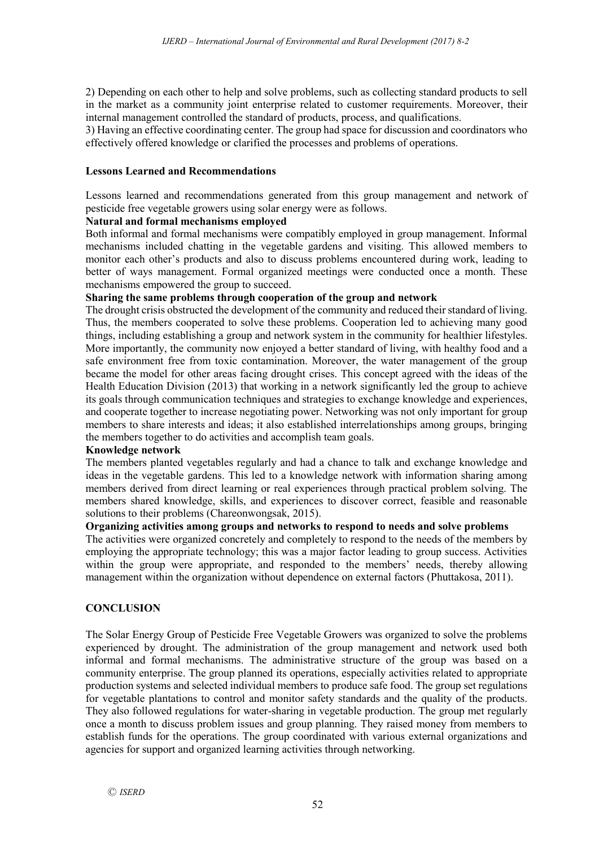2) Depending on each other to help and solve problems, such as collecting standard products to sell in the market as a community joint enterprise related to customer requirements. Moreover, their internal management controlled the standard of products, process, and qualifications.

3) Having an effective coordinating center. The group had space for discussion and coordinators who effectively offered knowledge or clarified the processes and problems of operations.

## **Lessons Learned and Recommendations**

Lessons learned and recommendations generated from this group management and network of pesticide free vegetable growers using solar energy were as follows.

## **Natural and formal mechanisms employed**

Both informal and formal mechanisms were compatibly employed in group management. Informal mechanisms included chatting in the vegetable gardens and visiting. This allowed members to monitor each other's products and also to discuss problems encountered during work, leading to better of ways management. Formal organized meetings were conducted once a month. These mechanisms empowered the group to succeed.

## **Sharing the same problems through cooperation of the group and network**

The drought crisis obstructed the development of the community and reduced their standard of living. Thus, the members cooperated to solve these problems. Cooperation led to achieving many good things, including establishing a group and network system in the community for healthier lifestyles. More importantly, the community now enjoyed a better standard of living, with healthy food and a safe environment free from toxic contamination. Moreover, the water management of the group became the model for other areas facing drought crises. This concept agreed with the ideas of the Health Education Division (2013) that working in a network significantly led the group to achieve its goals through communication techniques and strategies to exchange knowledge and experiences, and cooperate together to increase negotiating power. Networking was not only important for group members to share interests and ideas; it also established interrelationships among groups, bringing the members together to do activities and accomplish team goals.

## **Knowledge network**

The members planted vegetables regularly and had a chance to talk and exchange knowledge and ideas in the vegetable gardens. This led to a knowledge network with information sharing among members derived from direct learning or real experiences through practical problem solving. The members shared knowledge, skills, and experiences to discover correct, feasible and reasonable solutions to their problems (Chareonwongsak, 2015).

# **Organizing activities among groups and networks to respond to needs and solve problems**

The activities were organized concretely and completely to respond to the needs of the members by employing the appropriate technology; this was a major factor leading to group success. Activities within the group were appropriate, and responded to the members' needs, thereby allowing management within the organization without dependence on external factors (Phuttakosa, 2011).

## **CONCLUSION**

The Solar Energy Group of Pesticide Free Vegetable Growers was organized to solve the problems experienced by drought. The administration of the group management and network used both informal and formal mechanisms. The administrative structure of the group was based on a community enterprise. The group planned its operations, especially activities related to appropriate production systems and selected individual members to produce safe food. The group set regulations for vegetable plantations to control and monitor safety standards and the quality of the products. They also followed regulations for water-sharing in vegetable production. The group met regularly once a month to discuss problem issues and group planning. They raised money from members to establish funds for the operations. The group coordinated with various external organizations and agencies for support and organized learning activities through networking.